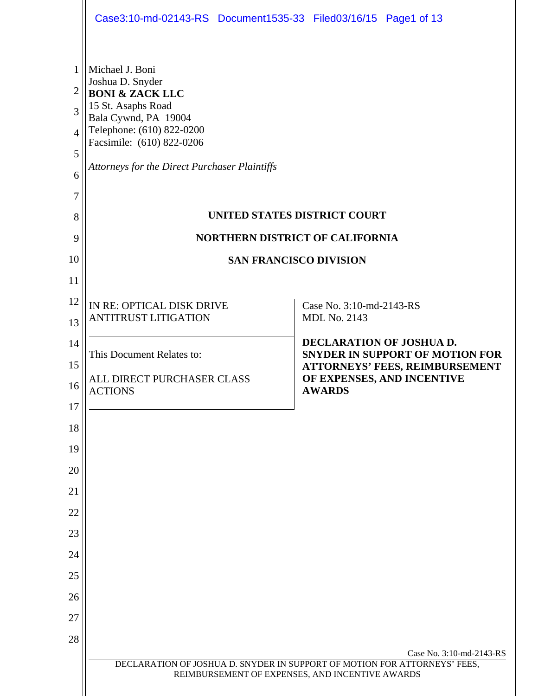|                                                        | Case3:10-md-02143-RS Document1535-33 Filed03/16/15 Page1 of 13                                                                                                                                                                    |                                                                                                                                           |  |  |
|--------------------------------------------------------|-----------------------------------------------------------------------------------------------------------------------------------------------------------------------------------------------------------------------------------|-------------------------------------------------------------------------------------------------------------------------------------------|--|--|
| 1<br>$\overline{c}$<br>3<br>4<br>5<br>6<br>7<br>8<br>9 | Michael J. Boni<br>Joshua D. Snyder<br><b>BONI &amp; ZACK LLC</b><br>15 St. Asaphs Road<br>Bala Cywnd, PA 19004<br>Telephone: (610) 822-0200<br>Facsimile: (610) 822-0206<br><b>Attorneys for the Direct Purchaser Plaintiffs</b> | UNITED STATES DISTRICT COURT<br><b>NORTHERN DISTRICT OF CALIFORNIA</b>                                                                    |  |  |
| 10                                                     | <b>SAN FRANCISCO DIVISION</b>                                                                                                                                                                                                     |                                                                                                                                           |  |  |
| 11                                                     |                                                                                                                                                                                                                                   |                                                                                                                                           |  |  |
| 12<br>13                                               | IN RE: OPTICAL DISK DRIVE<br><b>ANTITRUST LITIGATION</b>                                                                                                                                                                          | Case No. 3:10-md-2143-RS<br><b>MDL No. 2143</b>                                                                                           |  |  |
| 14<br>15<br>16                                         | This Document Relates to:<br>ALL DIRECT PURCHASER CLASS                                                                                                                                                                           | DECLARATION OF JOSHUA D.<br><b>SNYDER IN SUPPORT OF MOTION FOR</b><br><b>ATTORNEYS' FEES, REIMBURSEMENT</b><br>OF EXPENSES, AND INCENTIVE |  |  |
| 17                                                     | <b>ACTIONS</b>                                                                                                                                                                                                                    | <b>AWARDS</b>                                                                                                                             |  |  |
| 18                                                     |                                                                                                                                                                                                                                   |                                                                                                                                           |  |  |
| 19                                                     |                                                                                                                                                                                                                                   |                                                                                                                                           |  |  |
| 20                                                     |                                                                                                                                                                                                                                   |                                                                                                                                           |  |  |
| 21                                                     |                                                                                                                                                                                                                                   |                                                                                                                                           |  |  |
| 22                                                     |                                                                                                                                                                                                                                   |                                                                                                                                           |  |  |
| 23                                                     |                                                                                                                                                                                                                                   |                                                                                                                                           |  |  |
| 24                                                     |                                                                                                                                                                                                                                   |                                                                                                                                           |  |  |
| 25                                                     |                                                                                                                                                                                                                                   |                                                                                                                                           |  |  |
| 26                                                     |                                                                                                                                                                                                                                   |                                                                                                                                           |  |  |
| 27                                                     |                                                                                                                                                                                                                                   |                                                                                                                                           |  |  |
| 28                                                     |                                                                                                                                                                                                                                   | Case No. 3:10-md-2143-RS                                                                                                                  |  |  |
|                                                        |                                                                                                                                                                                                                                   | DECLARATION OF JOSHUA D. SNYDER IN SUPPORT OF MOTION FOR ATTORNEYS' FEES,<br>REIMBURSEMENT OF EXPENSES, AND INCENTIVE AWARDS              |  |  |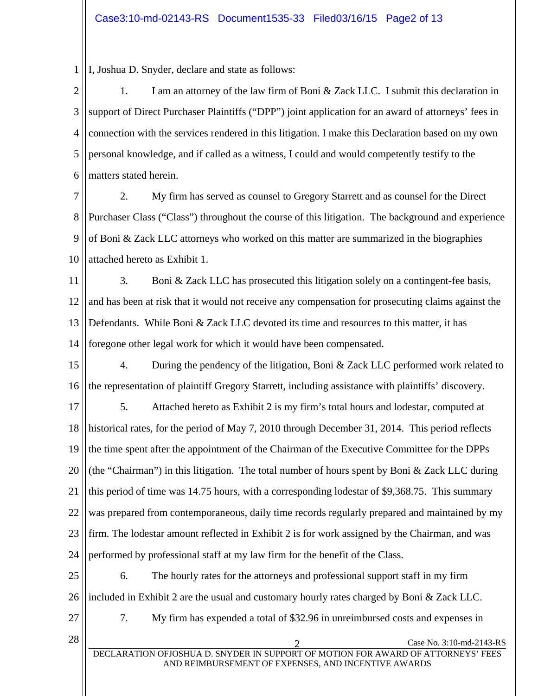1 I, Joshua D. Snyder, declare and state as follows:

2 3 4 5 6 1. I am an attorney of the law firm of Boni & Zack LLC. I submit this declaration in support of Direct Purchaser Plaintiffs ("DPP") joint application for an award of attorneys' fees in connection with the services rendered in this litigation. I make this Declaration based on my own personal knowledge, and if called as a witness, I could and would competently testify to the matters stated herein.

7 8 9 10 2. My firm has served as counsel to Gregory Starrett and as counsel for the Direct Purchaser Class ("Class") throughout the course of this litigation. The background and experience of Boni & Zack LLC attorneys who worked on this matter are summarized in the biographies attached hereto as Exhibit 1.

11 12 13 14 3. Boni & Zack LLC has prosecuted this litigation solely on a contingent-fee basis, and has been at risk that it would not receive any compensation for prosecuting claims against the Defendants. While Boni & Zack LLC devoted its time and resources to this matter, it has foregone other legal work for which it would have been compensated.

15 16 4. During the pendency of the litigation, Boni & Zack LLC performed work related to the representation of plaintiff Gregory Starrett, including assistance with plaintiffs' discovery.

17 18 19 20 21 22 23 24 5. Attached hereto as Exhibit 2 is my firm's total hours and lodestar, computed at historical rates, for the period of May 7, 2010 through December 31, 2014. This period reflects the time spent after the appointment of the Chairman of the Executive Committee for the DPPs (the "Chairman") in this litigation. The total number of hours spent by Boni  $\&$  Zack LLC during this period of time was 14.75 hours, with a corresponding lodestar of \$9,368.75. This summary was prepared from contemporaneous, daily time records regularly prepared and maintained by my firm. The lodestar amount reflected in Exhibit 2 is for work assigned by the Chairman, and was performed by professional staff at my law firm for the benefit of the Class.

25 26 6. The hourly rates for the attorneys and professional support staff in my firm included in Exhibit 2 are the usual and customary hourly rates charged by Boni & Zack LLC.

27

7. My firm has expended a total of \$32.96 in unreimbursed costs and expenses in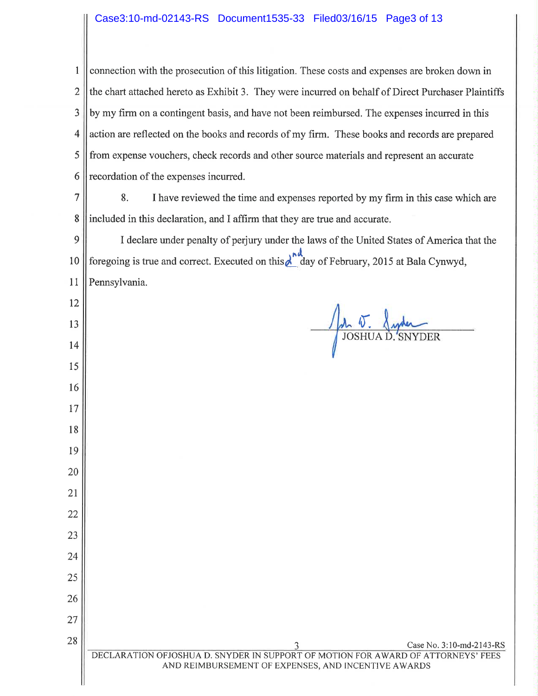# Case3:10-md-02143-RS Document1535-33 Filed03/16/15 Page3 of 13

connection with the prosecution of this litigation. These costs and expenses are broken down in  $\mathbf{1}$  $\overline{2}$ the chart attached hereto as Exhibit 3. They were incurred on behalf of Direct Purchaser Plaintiffs 3 by my firm on a contingent basis, and have not been reimbursed. The expenses incurred in this action are reflected on the books and records of my firm. These books and records are prepared 4 5 from expense vouchers, check records and other source materials and represent an accurate recordation of the expenses incurred. 6

 $\overline{7}$ 8. I have reviewed the time and expenses reported by my firm in this case which are 8 included in this declaration, and I affirm that they are true and accurate.

9 I declare under penalty of perjury under the laws of the United States of America that the foregoing is true and correct. Executed on this  $\lambda$  day of February, 2015 at Bala Cynwyd, 10 Pennsylvania. 11

12

13

14

15

16

17

18

19

20

21

22

23

24

25

26

27

28

**JOSHUAD.**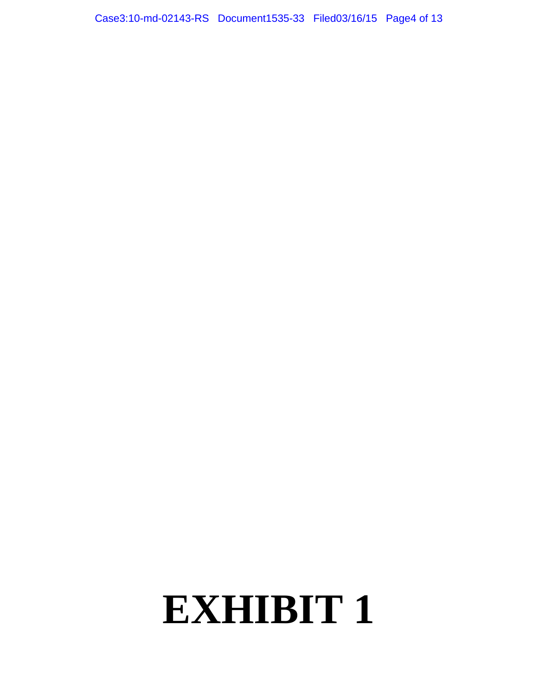Case3:10-md-02143-RS Document1535-33 Filed03/16/15 Page4 of 13

# **EXHIBIT 1**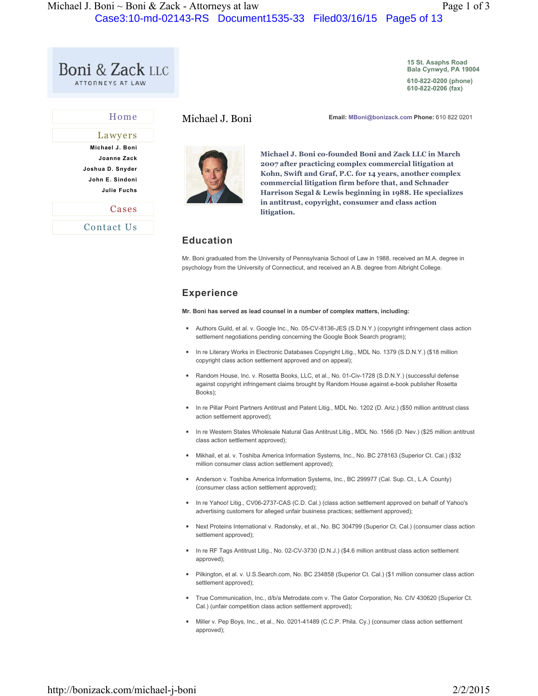**15 St. Asaphs Road Bala Cynwyd, PA 19004**

**610-822-0200 (phone) 610-822-0206 (fax)** 

| Home               |  |
|--------------------|--|
| Lawyers            |  |
| Michael J. Boni    |  |
| Joanne Zack        |  |
| Joshua D. Snyder   |  |
| John E. Sindoni    |  |
| <b>Julie Fuchs</b> |  |
| Cases              |  |
| Contact Us         |  |

Michael J. Boni **Email: MBoni@bonizack.com Phone:** 610 822 0201



**Michael J. Boni co-founded Boni and Zack LLC in March 2007 after practicing complex commercial litigation at Kohn, Swift and Graf, P.C. for 14 years, another complex commercial litigation firm before that, and Schnader Harrison Segal & Lewis beginning in 1988. He specializes in antitrust, copyright, consumer and class action litigation.**

# **Education**

Mr. Boni graduated from the University of Pennsylvania School of Law in 1988, received an M.A. degree in psychology from the University of Connecticut, and received an A.B. degree from Albright College.

# **Experience**

**Mr. Boni has served as lead counsel in a number of complex matters, including:**

- Authors Guild, et al. v. Google Inc., No. 05-CV-8136-JES (S.D.N.Y.) (copyright infringement class action settlement negotiations pending concerning the Google Book Search program);
- In re Literary Works in Electronic Databases Copyright Litig., MDL No. 1379 (S.D.N.Y.) (\$18 million copyright class action settlement approved and on appeal);
- Random House, Inc. v. Rosetta Books, LLC, et al., No. 01-Civ-1728 (S.D.N.Y.) (successful defense against copyright infringement claims brought by Random House against e-book publisher Rosetta Books);
- In re Pillar Point Partners Antitrust and Patent Litig., MDL No. 1202 (D. Ariz.) (\$50 million antitrust class action settlement approved);
- In re Western States Wholesale Natural Gas Antitrust Litig., MDL No. 1566 (D. Nev.) (\$25 million antitrust class action settlement approved);
- ◾ Mikhail, et al. v. Toshiba America Information Systems, Inc., No. BC 278163 (Superior Ct. Cal.) (\$32 million consumer class action settlement approved);
- Anderson v. Toshiba America Information Systems, Inc., BC 299977 (Cal. Sup. Ct., L.A. County) (consumer class action settlement approved);
- In re Yahoo! Litig., CV06-2737-CAS (C.D. Cal.) (class action settlement approved on behalf of Yahoo's advertising customers for alleged unfair business practices; settlement approved);
- Next Proteins International v. Radonsky, et al., No. BC 304799 (Superior Ct. Cal.) (consumer class action settlement approved);
- In re RF Tags Antitrust Litig., No. 02-CV-3730 (D.N.J.) (\$4.6 million antitrust class action settlement approved);
- Pilkington, et al. v. U.S.Search.com, No. BC 234858 (Superior Ct. Cal.) (\$1 million consumer class action settlement approved);
- True Communication, Inc., d/b/a Metrodate.com v. The Gator Corporation, No. CIV 430620 (Superior Ct. Cal.) (unfair competition class action settlement approved);
- Miller v. Pep Boys, Inc., et al., No. 0201-41489 (C.C.P. Phila. Cy.) (consumer class action settlement approved);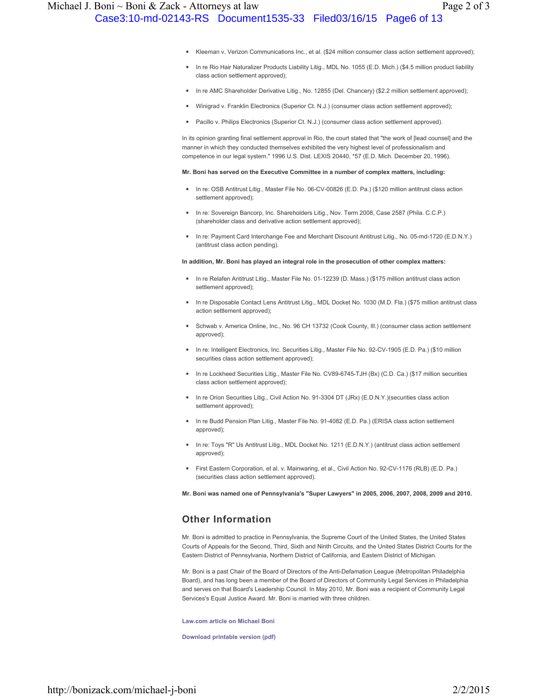- Kleeman v. Verizon Communications Inc., et al. (\$24 million consumer class action settlement approved);
- In re Rio Hair Naturalizer Products Liability Litig., MDL No. 1055 (E.D. Mich.) (\$4.5 million product liability class action settlement approved);
- In re AMC Shareholder Derivative Litig., No. 12855 (Del. Chancery) (\$2.2 million settlement approved);
- Winigrad v. Franklin Electronics (Superior Ct. N.J.) (consumer class action settlement approved);
- Pacillo v. Philips Electronics (Superior Ct. N.J.) (consumer class action settlement approved).

In its opinion granting final settlement approval in Rio, the court stated that "the work of [lead counsel] and the manner in which they conducted themselves exhibited the very highest level of professionalism and competence in our legal system." 1996 U.S. Dist. LEXIS 20440, \*57 (E.D. Mich. December 20, 1996).

#### **Mr. Boni has served on the Executive Committee in a number of complex matters, including:**

- In re: OSB Antitrust Litig., Master File No. 06-CV-00826 (E.D. Pa.) (\$120 million antitrust class action settlement approved);
- In re: Sovereign Bancorp, Inc. Shareholders Litig., Nov. Term 2008, Case 2587 (Phila. C.C.P.) (shareholder class and derivative action settlement approved);
- In re: Payment Card Interchange Fee and Merchant Discount Antitrust Litig., No. 05-md-1720 (E.D.N.Y.) (antitrust class action pending).

#### **In addition, Mr. Boni has played an integral role in the prosecution of other complex matters:**

- In re Relafen Antitrust Litig., Master File No. 01-12239 (D. Mass.) (\$175 million antitrust class action settlement approved);
- In re Disposable Contact Lens Antitrust Litig., MDL Docket No. 1030 (M.D. Fla.) (\$75 million antitrust class action settlement approved);
- Schwab v. America Online, Inc., No. 96 CH 13732 (Cook County, Ill.) (consumer class action settlement approved);
- In re: Intelligent Electronics, Inc. Securities Litig., Master File No. 92-CV-1905 (E.D. Pa.) (\$10 million securities class action settlement approved);
- In re Lockheed Securities Litig., Master File No. CV89-6745-TJH (Bx) (C.D. Ca.) (\$17 million securities class action settlement approved);
- In re Orion Securities Litig., Civil Action No. 91-3304 DT (JRx) (E.D.N.Y.)(securities class action settlement approved);
- In re Budd Pension Plan Litig., Master File No. 91-4082 (E.D. Pa.) (ERISA class action settlement approved);
- In re: Toys "R" Us Antitrust Litig., MDL Docket No. 1211 (E.D.N.Y.) (antitrust class action settlement approved);
- First Eastern Corporation, et al. v. Mainwaring, et al., Civil Action No. 92-CV-1176 (RLB) (E.D. Pa.) (securities class action settlement approved).

**Mr. Boni was named one of Pennsylvania's "Super Lawyers" in 2005, 2006, 2007, 2008, 2009 and 2010.**

#### **Other Information**

Mr. Boni is admitted to practice in Pennsylvania, the Supreme Court of the United States, the United States Courts of Appeals for the Second, Third, Sixth and Ninth Circuits, and the United States District Courts for the Eastern District of Pennsylvania, Northern District of California, and Eastern District of Michigan.

Mr. Boni is a past Chair of the Board of Directors of the Anti-Defamation League (Metropolitan Philadelphia Board), and has long been a member of the Board of Directors of Community Legal Services in Philadelphia and serves on that Board's Leadership Council. In May 2010, Mr. Boni was a recipient of Community Legal Services's Equal Justice Award. Mr. Boni is married with three children.

**Law.com article on Michael Boni**

**Download printable version (pdf)**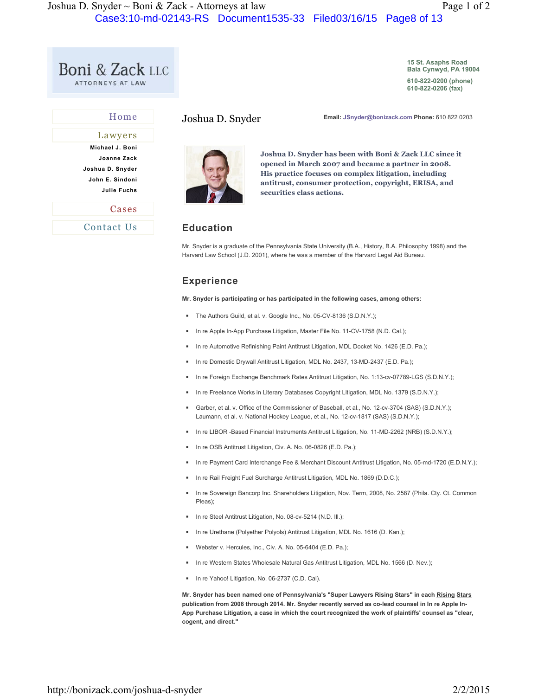| <b>Boni &amp; Zack LLC</b> |  |  |
|----------------------------|--|--|
| ATTORNEYS AT LAW           |  |  |

Home

**15 St. Asaphs Road Bala Cynwyd, PA 19004**

**610-822-0200 (phone) 610-822-0206 (fax)** 

| Lawyers                                                   |  |
|-----------------------------------------------------------|--|
| Michael J. Boni<br>Joanne Zack                            |  |
| Joshua D. Snyder<br>John E. Sindoni<br><b>Julie Fuchs</b> |  |
| Cases                                                     |  |
| Contact Us                                                |  |

Joshua D. Snyder **Email: JSnyder@bonizack.com Phone:** 610 822 0203



**Joshua D. Snyder has been with Boni & Zack LLC since it opened in March 2007 and became a partner in 2008. His practice focuses on complex litigation, including antitrust, consumer protection, copyright, ERISA, and securities class actions.**

#### **Education**

Mr. Snyder is a graduate of the Pennsylvania State University (B.A., History, B.A. Philosophy 1998) and the Harvard Law School (J.D. 2001), where he was a member of the Harvard Legal Aid Bureau.

### **Experience**

**Mr. Snyder is participating or has participated in the following cases, among others:**

- The Authors Guild, et al. v. Google Inc., No. 05-CV-8136 (S.D.N.Y.);
- In re Apple In-App Purchase Litigation, Master File No. 11-CV-1758 (N.D. Cal.);
- In re Automotive Refinishing Paint Antitrust Litigation, MDL Docket No. 1426 (E.D. Pa.);
- In re Domestic Drywall Antitrust Litigation, MDL No. 2437, 13-MD-2437 (E.D. Pa.);
- In re Foreign Exchange Benchmark Rates Antitrust Litigation, No. 1:13-cv-07789-LGS (S.D.N.Y.);
- In re Freelance Works in Literary Databases Copyright Litigation, MDL No. 1379 (S.D.N.Y.);
- Garber, et al. v. Office of the Commissioner of Baseball, et al., No. 12-cv-3704 (SAS) (S.D.N.Y.); Laumann, et al. v. National Hockey League, et al., No. 12-cv-1817 (SAS) (S.D.N.Y.);
- In re LIBOR -Based Financial Instruments Antitrust Litigation, No. 11-MD-2262 (NRB) (S.D.N.Y.);
- In re OSB Antitrust Litigation, Civ. A. No. 06-0826 (E.D. Pa.);
- In re Payment Card Interchange Fee & Merchant Discount Antitrust Litigation, No. 05-md-1720 (E.D.N.Y.);
- In re Rail Freight Fuel Surcharge Antitrust Litigation, MDL No. 1869 (D.D.C.);
- In re Sovereign Bancorp Inc. Shareholders Litigation, Nov. Term, 2008, No. 2587 (Phila. Cty. Ct. Common Pleas);
- In re Steel Antitrust Litigation, No. 08-cv-5214 (N.D. III.);
- In re Urethane (Polyether Polyols) Antitrust Litigation, MDL No. 1616 (D. Kan.);
- Webster v. Hercules, Inc., Civ. A. No. 05-6404 (E.D. Pa.);
- In re Western States Wholesale Natural Gas Antitrust Litigation, MDL No. 1566 (D. Nev.);
- In re Yahoo! Litigation, No. 06-2737 (C.D. Cal).

**Mr. Snyder has been named one of Pennsylvania's "Super Lawyers Rising Stars" in each Rising Stars publication from 2008 through 2014. Mr. Snyder recently served as co-lead counsel in In re Apple In-App Purchase Litigation, a case in which the court recognized the work of plaintiffs' counsel as "clear, cogent, and direct."**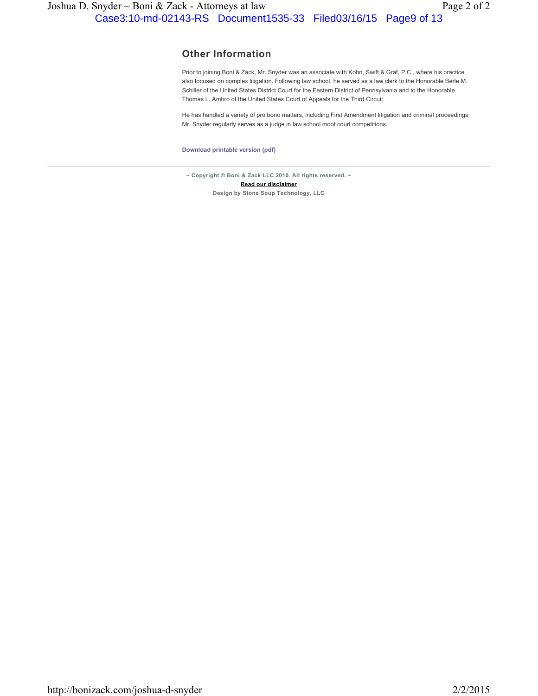#### **Other Information**

Prior to joining Boni & Zack, Mr. Snyder was an associate with Kohn, Swift & Graf, P.C., where his practice also focused on complex litigation. Following law school, he served as a law clerk to the Honorable Berle M. Schiller of the United States District Court for the Eastern District of Pennsylvania and to the Honorable Thomas L. Ambro of the United States Court of Appeals for the Third Circuit.

He has handled a variety of pro bono matters, including First Amendment litigation and criminal proceedings. Mr. Snyder regularly serves as a judge in law school moot court competitions.

**Download printable version (pdf)**

**~ Copyright © Boni & Zack LLC 2010. All rights reserved. ~ Read our disclaimer Design by Stone Soup Technology, LLC**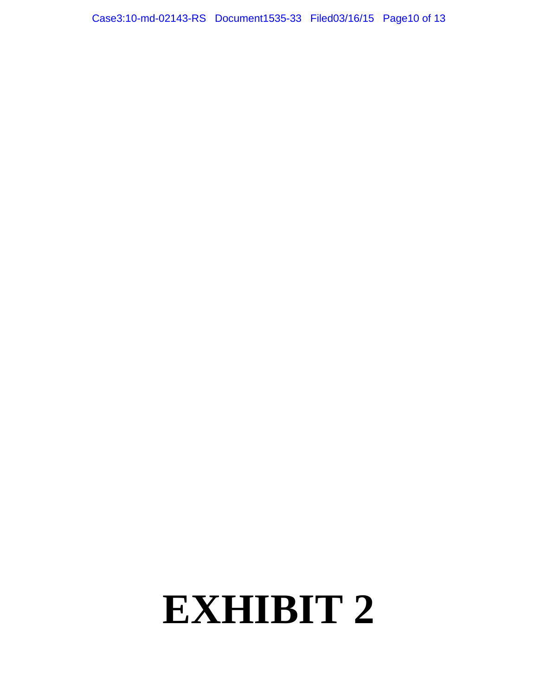# **EXHIBIT 2**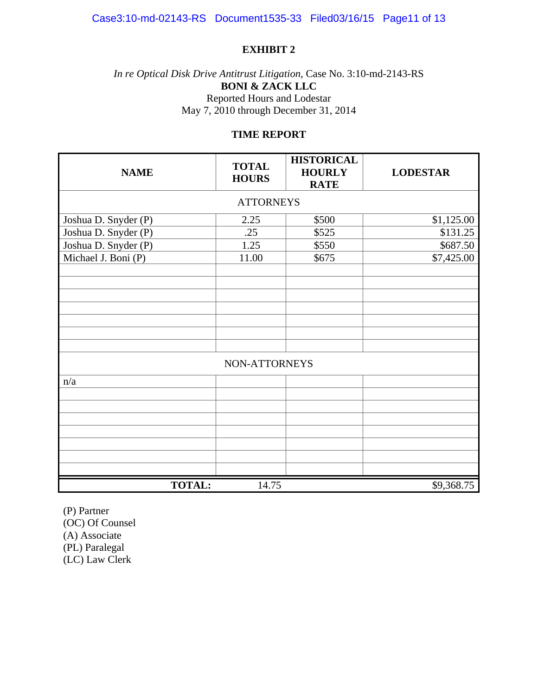# **EXHIBIT 2**

# *In re Optical Disk Drive Antitrust Litigation*, Case No. 3:10-md-2143-RS **BONI & ZACK LLC**  Reported Hours and Lodestar May 7, 2010 through December 31, 2014

# **TIME REPORT**

| <b>NAME</b>          | <b>TOTAL</b><br><b>HOURS</b> | <b>HISTORICAL</b><br><b>HOURLY</b><br><b>RATE</b> | <b>LODESTAR</b> |  |  |  |
|----------------------|------------------------------|---------------------------------------------------|-----------------|--|--|--|
| <b>ATTORNEYS</b>     |                              |                                                   |                 |  |  |  |
| Joshua D. Snyder (P) | 2.25                         | \$500                                             | \$1,125.00      |  |  |  |
| Joshua D. Snyder (P) | .25                          | \$525                                             | \$131.25        |  |  |  |
| Joshua D. Snyder (P) | 1.25                         | \$550                                             | \$687.50        |  |  |  |
| Michael J. Boni (P)  | 11.00                        | \$675                                             | \$7,425.00      |  |  |  |
|                      |                              |                                                   |                 |  |  |  |
|                      |                              |                                                   |                 |  |  |  |
|                      |                              |                                                   |                 |  |  |  |
|                      |                              |                                                   |                 |  |  |  |
|                      |                              |                                                   |                 |  |  |  |
|                      |                              |                                                   |                 |  |  |  |
|                      |                              |                                                   |                 |  |  |  |
|                      | NON-ATTORNEYS                |                                                   |                 |  |  |  |
| n/a                  |                              |                                                   |                 |  |  |  |
|                      |                              |                                                   |                 |  |  |  |
|                      |                              |                                                   |                 |  |  |  |
|                      |                              |                                                   |                 |  |  |  |
|                      |                              |                                                   |                 |  |  |  |
|                      |                              |                                                   |                 |  |  |  |
|                      |                              |                                                   |                 |  |  |  |
|                      |                              |                                                   |                 |  |  |  |
| <b>TOTAL:</b>        | 14.75                        |                                                   | \$9,368.75      |  |  |  |

(P) Partner (OC) Of Counsel (A) Associate (PL) Paralegal (LC) Law Clerk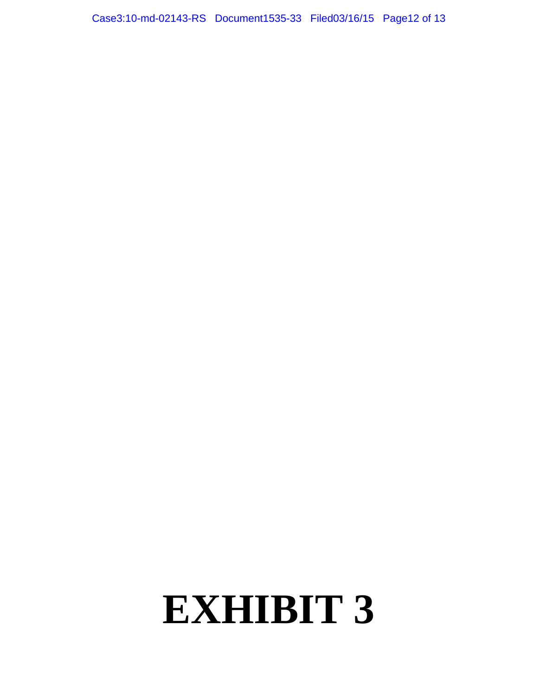# **EXHIBIT 3**